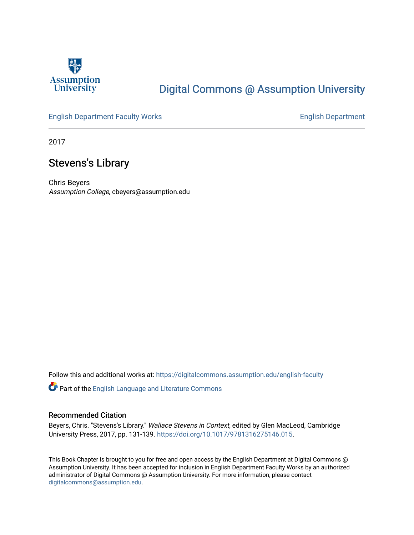

## [Digital Commons @ Assumption University](https://digitalcommons.assumption.edu/)

### [English Department Faculty Works](https://digitalcommons.assumption.edu/english-faculty) **English Department**

2017

## Stevens's Library

Chris Beyers Assumption College, cbeyers@assumption.edu

Follow this and additional works at: [https://digitalcommons.assumption.edu/english-faculty](https://digitalcommons.assumption.edu/english-faculty?utm_source=digitalcommons.assumption.edu%2Fenglish-faculty%2F14&utm_medium=PDF&utm_campaign=PDFCoverPages) 

Part of the [English Language and Literature Commons](http://network.bepress.com/hgg/discipline/455?utm_source=digitalcommons.assumption.edu%2Fenglish-faculty%2F14&utm_medium=PDF&utm_campaign=PDFCoverPages)

#### Recommended Citation

Beyers, Chris. "Stevens's Library." Wallace Stevens in Context, edited by Glen MacLeod, Cambridge University Press, 2017, pp. 131-139. [https://doi.org/10.1017/9781316275146.015.](https://doi.org/10.1017/9781316275146.015)

This Book Chapter is brought to you for free and open access by the English Department at Digital Commons @ Assumption University. It has been accepted for inclusion in English Department Faculty Works by an authorized administrator of Digital Commons @ Assumption University. For more information, please contact [digitalcommons@assumption.edu](mailto:digitalcommons@assumption.edu).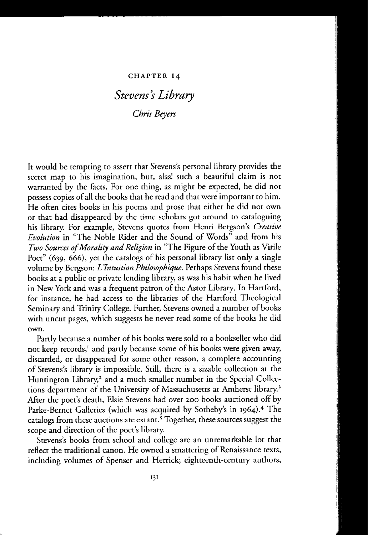#### **CHA PTER 1 4**

# *Stevens s Library*

*Chris Beyers* 

It would be tempting to assert that Stevens's personal library provides the secret map to his imagination, but, alas! such a beautiful claim is not warranted by the facts. For one thing, as might be expected, he did not possess copies of all the books that he read and that were important to him. He often cites books in his poems and prose that either he did not own or that had disappeared by the time scholars got around to cataloguing his library. For example, Stevens quotes from Henri Bergson's *Creative Evolution* in "The Noble Rider and the Sound of Words" and from his *Two Sources of Morality and Religion* in "The Figure of the Youth as Virile Poet" (639, *666),* yet the catalogs of his personal library list only a single volume by Bergson: *L'Intuition Philosophique.* Perhaps Stevens found these books at a public or private lending library, as was his habit when he lived in New York and was a frequent patron of the Astor Library. In Hartford, for instance, he had access to the libraries of the Hartford Theological Seminary and Trinity College. Further, Stevens owned a number of books with uncut pages, which suggests he never read some of the books he did own.

Partly because a number of his books were sold to a bookseller who did not keep records,<sup>1</sup> and partly because some of his books were given away, discarded, or disappeared for some other reason, a complete accounting of Stevens's library is impossible. Still, there is a sizable collection at the Huntington Library,<sup>2</sup> and a much smaller number in the Special Collections department of the University of Massachusetts at Amherst library.<sup>3</sup> After the poet's death, Elsie Stevens had over *zoo* books auctioned off by Parke-Bernet Galleries (which was acquired by Sotheby's in 1964).<sup>4</sup> The catalogs from these auctions are extant.<sup>5</sup> Together, these sources suggest the scope and direction of the poet's library.

Stevens's books from school and college are an unremarkable lot that reflect the traditional canon. He owned a smattering of Renaissance texts, including volumes of Spenser and Herrick; eighteenth-century authors,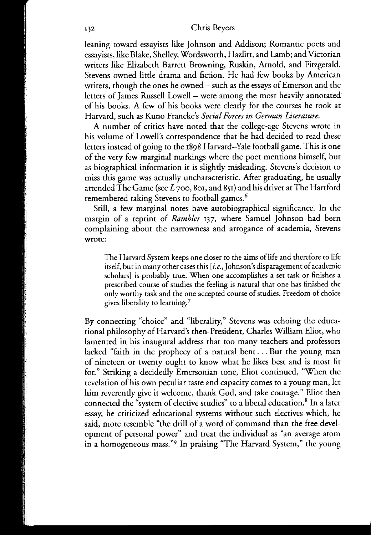#### 132 Chris Beyers

leaning toward essayists like Johnson and Addison; Romantic poets and essayists, like Blake, Shelley, Wordsworth, Hazlitt, and Lamb; and Victorian writers like Elizabeth Barrett Browning, Ruskin, Arnold, and Fitzgerald. Stevens owned little drama and fiction. He had few books by American writers, though the ones he owned – such as the essays of Emerson and the letters of James Russell Lowell — were among the most heavily annotated of his books. A few of his books were clearly for the courses he took at Harvard, such as Kuno Francke's *Social Forces in German Literature.* 

A number of critics have noted that the college-age Stevens wrote in his volume of Lowell's correspondence that he had decided to read these letters instead of going to the 1898 Harvard-Yale football game. This is one of the very few marginal markings where the poet mentions himself, but as biographical information it is slightly misleading. Stevens's decision to miss this game was actually uncharacteristic. After graduating, he usually attended The Game (see *L* 700,801, and 851) and his driver at The Hartford remembered taking Stevens to football games.<sup>6</sup>

Still, a few marginal notes have autobiographical significance. In the margin of a reprint of *Rambler* 137, where Samuel Johnson had been complaining about the narrowness and arrogance of academia, Stevens wrote:

The Harvard System keeps one closer to the aims of life and therefore to life itself, but in many other cases this [i.e., Johnson's disparagement of academic scholars] is probably true. When one accomplishes a set task or finishes a prescribed course of studies the feeling is natural that one has finished the only worthy task and the one accepted course of studies. Freedom of choice gives liberality to learning. <sup>7</sup>

By connecting "choice" and "liberality," Stevens was echoing the educational philosophy of Harvard's then-President, Charles William Eliot, who lamented in his inaugural address that too many teachers and professors lacked "faith in the prophecy of a natural bent... But the young man of nineteen or twenty ought to know what he likes best and is most fit for." Striking a decidedly Emersonian tone, Eliot continued, "When the revelation of his own peculiar taste and capacity comes to a young man, let him reverently give it welcome, thank God, and take courage." Eliot then connected the "system of elective studies" to a liberal education.8 In a later essay, he criticized educational systems without such electives which, he said, more resemble "the drill of a word of command than the free development of personal power" and treat the individual as "an average atom in a homogeneous mass."9 In praising "The Harvard System," the young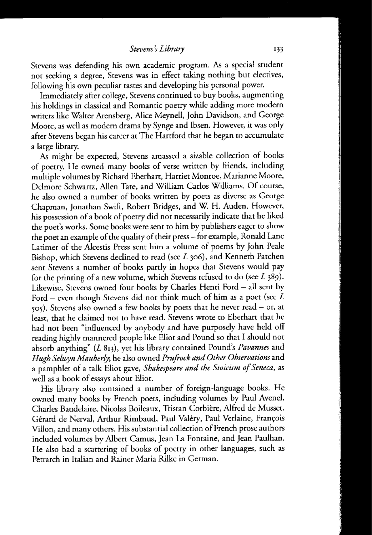#### *Stevens's Library* 133

Stevens was defending his own academic program. As a special student not seeking a degree, Stevens was in effect taking nothing but electives, following his own peculiar tastes and developing his personal power.

Immediately after college, Stevens continued to buy books, augmenting his holdings in classical and Romantic poetry while adding more modern writers like Walter Arensberg, Alice Meynell, John Davidson, and George Moore, as well as modern drama by Synge and Ibsen. However, it was only after Stevens began his career at The Hartford that he began to accumulate a large library.

As might be expected, Stevens amassed a sizable collection of books of poetry. He owned many books of verse written by friends, including multiple volumes by Richard Eberhart, Harriet Monroe, Marianne Moore, Delmore Schwartz, Allen Tate, and William Carlos Williams. Of course, he also owned a number of books written by poets as diverse as George Chapman, Jonathan Swift, Robert Bridges, and W. H. Auden. However, his possession of a book of poetry did not necessarily indicate that he liked the poet's works. Some books were sent to him by publishers eager to show the poet an example of the quality of their press — for example, Ronald Lane Latimer of the Alcestis Press sent him a volume of poems by John Peale Bishop, which Stevens declined to read (see *L* 306), and Kenneth Patchen sent Stevens a number of books partly in hopes that Stevens would pay for the printing of a new volume, which Stevens refused to do (see *L* 389). Likewise, Stevens owned four books by Charles Henri Ford — all sent by Ford — even though Stevens did not think much of him as a poet (see *L*   $505$ ). Stevens also owned a few books by poets that he never read – or, at least, that he claimed not to have read. Stevens wrote to Eberhart that he had not been "influenced by anybody and have purposely have held off reading highly mannered people like Eliot and Pound so that I should not absorb anything" (Z 813), yet his library contained Pound's *Pavannes* and *Hugh Selwyn Mauberly,* he also owned *Prufrock and Other Observations* and a pamphlet of a talk Eliot gave, *Shakespeare and the Stoicism of Seneca,* as well as a book of essays about Eliot.

His library also contained a number of foreign-language books. He owned many books by French poets, including volumes by Paul Avenel, Charles Baudelaire, Nicolas Boileaux, Tristan Corbiere, Alfred de Musset, Gérard de Nerval, Arthur Rimbaud, Paul Valéry, Paul Verlaine, François Villon, and many others. His substantial collection of French prose authors included volumes by Albert Camus, Jean La Fontaine, and Jean Paulhan. He also had a scattering of books of poetry in other languages, such as Petrarch in Italian and Rainer Maria Rilke in German.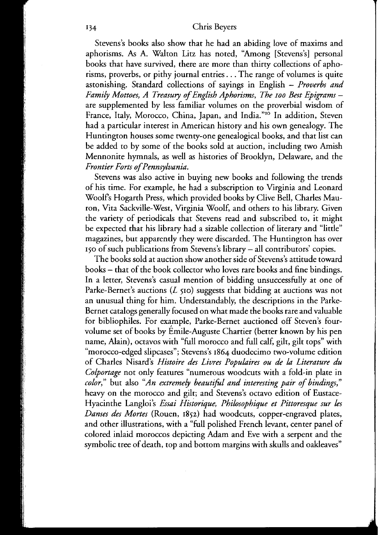#### **134** Chris Beyers

Stevens's books also show that he had an abiding love of maxims and aphorisms. As A. Walton Litz has noted, "Among [Stevens's] personal books that have survived, there are more than thirty collections of aphorisms, proverbs, or pithy journal entries... The range of volumes is quite astonishing. Standard collections of sayings in English - *Proverbs and Family Mottoes, A Treasury of English Aphorisms, The 100 Best Epigrams –* are supplemented by less familiar volumes on the proverbial wisdom of France, Italy, Morocco, China, Japan, and India."<sup>10</sup> In addition, Steven had a particular interest in American history and his own genealogy. The Huntington houses some twenty-one genealogical books, and that list can be added to by some of the books sold at auction, including two Amish Mennonite hymnals, as well as histories of Brooklyn, Delaware, and the *Frontier Forts of Pennsylvania.* 

Stevens was also active in buying new books and following the trends of his time. For example, he had a subscription to Virginia and Leonard Woolfs Hogarth Press, which provided books by Clive Bell, Charles Mauron, Vita Sackville-West, Virginia Woolf, and others to his library. Given the variety of periodicals that Stevens read and subscribed to, it might be expected that his library had a sizable collection of literary and "little" magazines, but apparendy they were discarded. The Huntington has over 150 of such publications from Stevens's library — all contributors' copies.

The books sold at auction show another side of Stevens's attitude toward books - that of the book collector who loves rare books and fine bindings. In a letter, Stevens's casual mention of bidding unsuccessfully at one of Parke-Bernet's auctions  $(L 510)$  suggests that bidding at auctions was not an unusual thing for him. Understandably, the descriptions in the Parke-Bernet catalogs generally focused on what made the books rare and valuable for bibliophiles. For example, Parke-Bernet auctioned off Steven's fourvolume set of books by Emile-Auguste Chartier (better known by his pen name, Alain), octavos with "full morocco and full calf, gilt, gilt tops" with "morocco-edged slipcases"; Stevens's 1864 duodecimo two-volume edition of Charles Nisard's *Histoire des Livres Populaires ou de la Literature du Colportage* not only features "numerous woodcuts with a fold-in plate in *color,"* but also *"An extremely beautiful and interesting pair of bindings,"*  heavy on the morocco and gilt; and Stevens's octavo edition of Eustace-Hyacinthe Langloi's *Essai Historique, Philosophique et Pittoresque sur les Danses des Mortes* (Rouen, 1852) had woodcuts, copper-engraved plates, and other illustrations, with a "full polished French levant, center panel of colored inlaid moroccos depicting Adam and Eve with a serpent and the symbolic tree of death, top and bottom margins with skulls and oakleaves"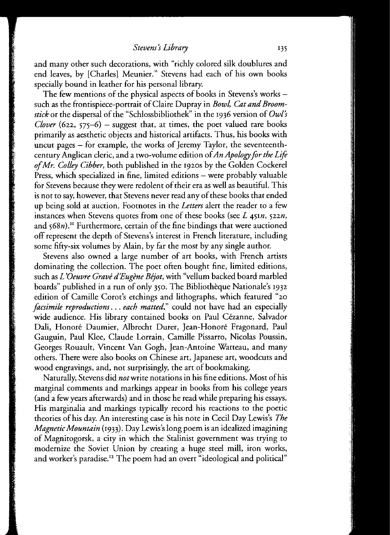#### *Stevens's Library* 135

and many other such decorations, with "richly colored silk doublures and end leaves, by [Charles] Meunier." Stevens had each of his own books specially bound in leather for his personal library.

The few mentions of the physical aspects of books in Stevens's works such as the frontispiece-portrait of Claire Dupray in *Bowl, Cat and Broomstick* or the dispersal of the "Schlossbibliothek" in the 1936 version of *Owl's Clover* (622,  $575-6$ ) – suggest that, at times, the poet valued rare books primarily as aesthetic objects and historical artifacts. Thus, his books with uncut pages - for example, the works of Jeremy Taylor, the seventeenthcentury Anglican cleric, and a two-volume edition of *An Apology for the Life of Mr. Colley Cibber,* both published in the 1920s by the Golden Cockerel Press, which specialized in fine, limited editions — were probably valuable for Stevens because they were redolent of their era as well as beautiful. This is not to say, however, that Stevens never read any of these books that ended up being sold at auction. Footnotes in the *Letters* alert the reader to a few instances when Stevens quotes from one of these books (see *L* 451n, 522n, and  $568n$ <sup>1</sup>.<sup>II</sup> Furthermore, certain of the fine bindings that were auctioned off represent the depth of Stevens's interest in French literature, including some fifty-six volumes by Alain, by far the most by any single author.

Stevens also owned a large number of art books, with French artists dominating the collection. The poet often bought fine, limited editions, such as *L 'Oeuvre Grave d'Eugene Bejot,* with "vellum backed board marbled boards" published in a run of only 350. The Bibliotheque Nationale's 1932 edition of Camille Corot's etchings and lithographs, which featured "20 *facsimile reproductions... each matted,"* could not have had an especially wide audience. His library contained books on Paul Cézanne, Salvador Dali, Honoré Daumier, Albrecht Durer, Jean-Honoré Fragonard, Paul Gauguin, Paul Klee, Claude Lorrain, Camille Pissarro, Nicolas Poussin, Georges Rouault, Vincent Van Gogh, Jean-Antoine Watteau, and many others. There were also books on Chinese art, Japanese art, woodcuts and wood engravings, and, not surprisingly, the art of bookmaking.

Naturally, Stevens did not write notations in his fine editions. Most of his marginal comments and markings appear in books from his college years (and a few years afterwards) and in those he read while preparing his essays. His marginalia and markings typically record his reactions to the poetic theories of his day. An interesting case is his note in Cecil Day Lewis's *The Magnetic Mountain* (1933). Day Lewis's long poem is an idealized imagining of Magnitogorsk, a city in which the Stalinist government was trying to modernize the Soviet Union by creating a huge steel mill, iron works, and worker's paradise." The poem had an overt "ideological and political"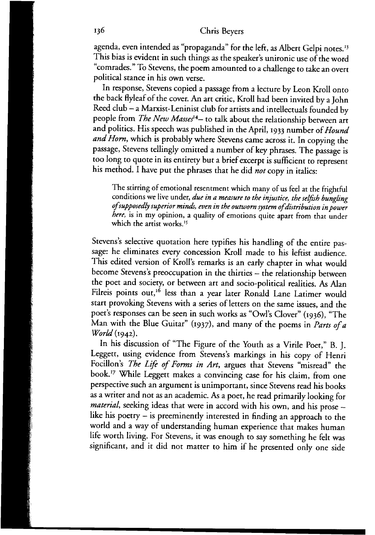#### 136 Chris Beyers

agenda, even intended as "propaganda" for the left, as Albert Gelpi notes.'<sup>3</sup> This bias is evident in such things as the speaker's unironic use of the word "comrades." To Stevens, the poem amounted to a challenge to take an overt political stance in his own verse.

In response, Stevens copied a passage from a lecture by Leon Kroll onto the back flyleaf of the cover. An art critic, Kroll had been invited by a John Reed club - a Marxist-Leninist club for artists and intellectuals founded by people from *The New Masses*' <sup>4</sup>— to talk about the relationship between art and politics. His speech was published in the April, 1933 number of *Hound and Horn*, which is probably where Stevens came across it. In copying the passage, Stevens tellingly omitted a number of key phrases. The passage is too long to quote in its entirety but a brief excerpt is sufficient to represent his method. I have put the phrases that he did *not* copy in italics:

The stirring of emotional resentment which many of us feel at the frightful conditions we live under, *due in a measure to the injustice, the selfish bungling ofsupposedly superior minds, even in the outworn system of distribution in power here,* is in my opinion, a quality of emotions quite apart from that under which the artist works.<sup>15</sup>

Stevens's selective quotation here typifies his handling of the entire passage: he eliminates every concession Kroll made to his leftist audience. This edited version of Kroll's remarks is an early chapter in what would become Stevens's preoccupation in the thirties - the relationship between the poet and society, or between art and socio-political realities. As Alan Filreis points out,<sup>16</sup> less than a year later Ronald Lane Latimer would start provoking Stevens with a series of letters on the same issues, and the poet's responses can be seen in such works as "Owl's Clover" (1936), "The Man with the Blue Guitar" (1937), and many of the poems in *Parts of a World* (1942).

In his discussion of "The Figure of the Youth as a Virile Poet," B. J. Leggett, using evidence from Stevens's markings in his copy of Henri Focillon's *The Life of Forms in Art,* argues that Stevens "misread" the book.'7 While Leggett makes a convincing case for his claim, from one perspective such an argument is unimportant, since Stevens read his books as a writer and not as an academic. As a poet, he read primarily looking for *material*, seeking ideas that were in accord with his own, and his prose like his poetry - is preeminently interested in finding an approach to the world and a way of understanding human experience that makes human life worth living. For Stevens, it was enough to say something he felt was significant, and it did not matter to him if he presented only one side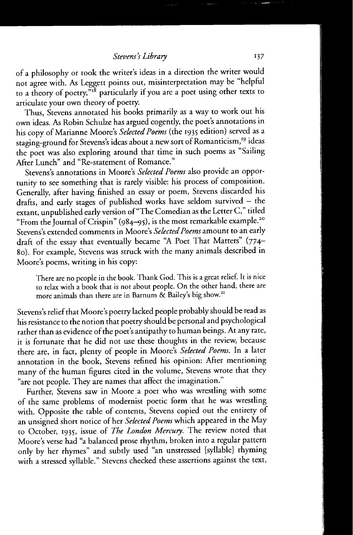of a philosophy or took the writer's ideas in a direction the writer would not agree with. As Leggett points out, misinterpretation may be "helpful to a theory of poetry,"'8 particularly if you are a poet using other texts to articulate your own theory of poetry.

Thus, Stevens annotated his books primarily as a way to work out his own ideas. As Robin Schulze has argued cogently, the poet's annotations in his copy of Marianne Moore's *Selected Poems* (the 1935 edition) served as a staging-ground for Stevens's ideas about a new sort of Romanticism,<sup>19</sup> ideas the poet was also exploring around that time in such poems as "Sailing After Lunch" and "Re-statement of Romance."

Stevens's annotations in Moore's *Selected Poems* also provide an opportunity to see something that is rarely visible: his process of composition. Generally, after having finished an essay or poem, Stevens discarded his drafts, and early stages of published works have seldom survived - the extant, unpublished early version of "The Comedian as the Letter C," titled "From the Journal of Crispin" (984–95), is the most remarkable example.<sup>20</sup> Stevens's extended comments in Moore's *Selected Poems* amount to an early draft of the essay that eventually became "A Poet That Matters" (774— 80). For example, Stevens was struck with the many animals described in Moore's poems, writing in his copy:

There are no people in the book. Thank God. This is a great relief. It is nice to relax with a book that is not about people. On the other hand, there are more animals than there are in Barnum & Bailey's big show.<sup>1</sup> '

Stevens's relief that Moore's poetry lacked people probably should be read as his resistance to the notion that poetry should be personal and psychological rather than as evidence of the poet's antipathy to human beings. At any rate, it is fortunate that he did not use these thoughts in the review, because there are, in fact, plenty of people in Moore's Selected Poems. In a later annotation in the book, Stevens refined his opinion: After mentioning many of the human figures cited in the volume, Stevens wrote that they "are not people. They are names that affect the imagination."

Further, Stevens saw in Moore a poet who was wrestling with some of the same problems of modernist poetic form that he was wrestling with. Opposite the table of contents, Stevens copied out the entirety of an unsigned short notice of her *Selected Poems* which appeared in the May to October, 1935, issue of *The London Mercury.* The review noted that Moore's verse had "a balanced prose rhythm, broken into a regular pattern only by her rhymes" and subtly used "an unstressed [syllable] rhyming with a stressed syllable." Stevens checked these assertions against the text,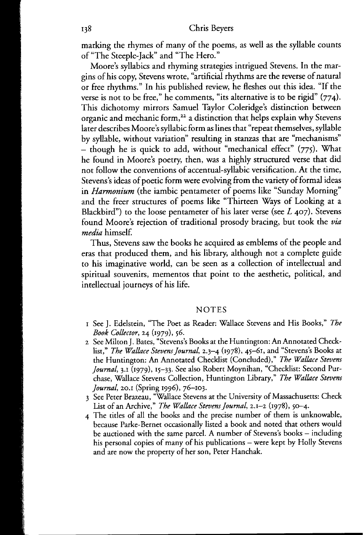marking the rhymes of many of the poems, as well as the syllable counts of "The Steeple-Jack" and "The Hero."

Moore's syllabics and rhyming strategies intrigued Stevens. In the margins of his copy, Stevens wrote, "artificial rhythms are the reverse of natural or free rhythms." In his published review, he fleshes out this idea. "If the verse is not to be free," he comments, "its alternative is to be rigid" (774). This dichotomy mirrors Samuel Taylor Coleridge's distinction between organic and mechanic form, <sup>22</sup>a distinction that helps explain why Stevens later describes Moore's syllabic form as lines that "repeat themselves, syllable by syllable, without variation" resulting in stanzas that are "mechanisms"  $-$  though he is quick to add, without "mechanical effect" (775). What he found in Moore's poetry, then, was a highly structured verse that did not follow the conventions of accentual-syllabic versification. At the time, Stevens's ideas of poetic form were evolving from the variety of formal ideas in *Harmonium* (the iambic pentameter of poems like "Sunday Morning" and the freer structures of poems like "Thirteen Ways of Looking at a Blackbird") to the loose pentameter of his later verse (see *L* 407). Stevens found Moore's rejection of traditional prosody bracing, but took the *via media* himself.

Thus, Stevens saw the books he acquired as emblems of the people and eras that produced them, and his library, although not a complete guide to his imaginative world, can be seen as a collection of intellectual and spiritual souvenirs, mementos that point to the aesthetic, political, and intellectual journeys of his life.

#### **NOTES**

- 1 See J. Edelstein, "The Poet as Reader: Wallace Stevens and His Books," *The Book Collector,* 24 (1979), 56.
- 2 See Milton J. Bates, "Stevens's Books at the Huntington: An Annotated Checklist," *The Wallace Stevens Journal,* 2.3-4 (1978), 45-61, and "Stevens's Books at the Huntington: An Annotated Checklist (Concluded)," *The Wallace Stevens Journal,* 3.1 (1979), 15-33. See also Robert Moynihan, "Checklist: Second Purchase, Wallace Stevens Collection, Huntington Library," *The Wallace Stevens Journal,* 20.1 (Spring 1996), 76-103.
- 3 See Peter Brazeau, "Wallace Stevens at the University of Massachusetts: Check List of an Archive," *The Wallace Stevens Journal,* 2.1—2 (1978), 50-4.
- 4 The titles of all the books and the precise number of them is unknowable, because Parke-Bernet occasionally listed a book and noted that others would be auctioned with the same parcel. A number of Stevens's books – including his personal copies of many of his publications – were kept by Holly Stevens and are now the property of her son, Peter Hanchak.